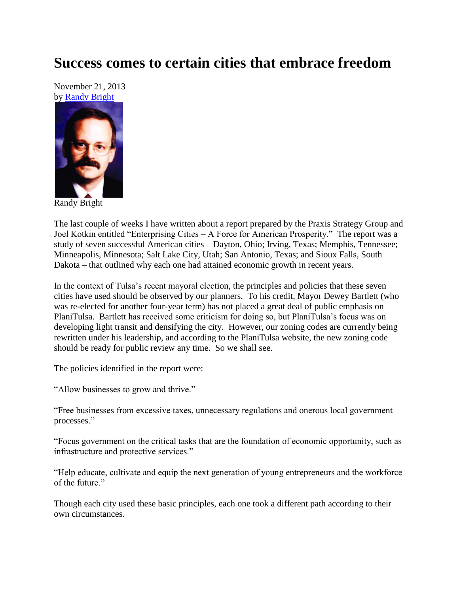## **Success comes to certain cities that embrace freedom**

November 21, 2013 by [Randy Bright](http://tulsabeacon.com/writers/randy-bright/)



Randy Bright

The last couple of weeks I have written about a report prepared by the Praxis Strategy Group and Joel Kotkin entitled "Enterprising Cities – A Force for American Prosperity." The report was a study of seven successful American cities – Dayton, Ohio; Irving, Texas; Memphis, Tennessee; Minneapolis, Minnesota; Salt Lake City, Utah; San Antonio, Texas; and Sioux Falls, South Dakota – that outlined why each one had attained economic growth in recent years.

In the context of Tulsa's recent mayoral election, the principles and policies that these seven cities have used should be observed by our planners. To his credit, Mayor Dewey Bartlett (who was re-elected for another four-year term) has not placed a great deal of public emphasis on PlaniTulsa. Bartlett has received some criticism for doing so, but PlaniTulsa's focus was on developing light transit and densifying the city. However, our zoning codes are currently being rewritten under his leadership, and according to the PlaniTulsa website, the new zoning code should be ready for public review any time. So we shall see.

The policies identified in the report were:

"Allow businesses to grow and thrive."

"Free businesses from excessive taxes, unnecessary regulations and onerous local government processes."

"Focus government on the critical tasks that are the foundation of economic opportunity, such as infrastructure and protective services."

"Help educate, cultivate and equip the next generation of young entrepreneurs and the workforce of the future."

Though each city used these basic principles, each one took a different path according to their own circumstances.